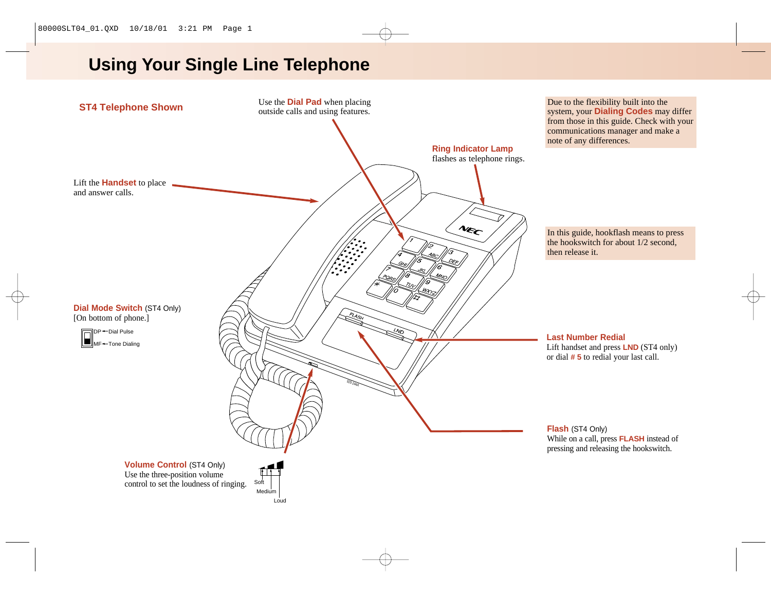# **Using Your Single Line Telephone**



Due to the flexibility built into the system, your **Dialing Codes** may differ from those in this guide. Check with your communications manager and make a note of any differences.

In this guide, hookflash means to press the hookswitch for about 1/2 second, then release it.

**Last Number Redial**

Lift handset and press **LND** (ST4 only) or dial **# 5** to redial your last call.

**Flash** (ST4 Only) While on a call, press **FLASH** instead of pressing and releasing the hookswitch.

Use the three-position volume control to set the loudness of ringing.

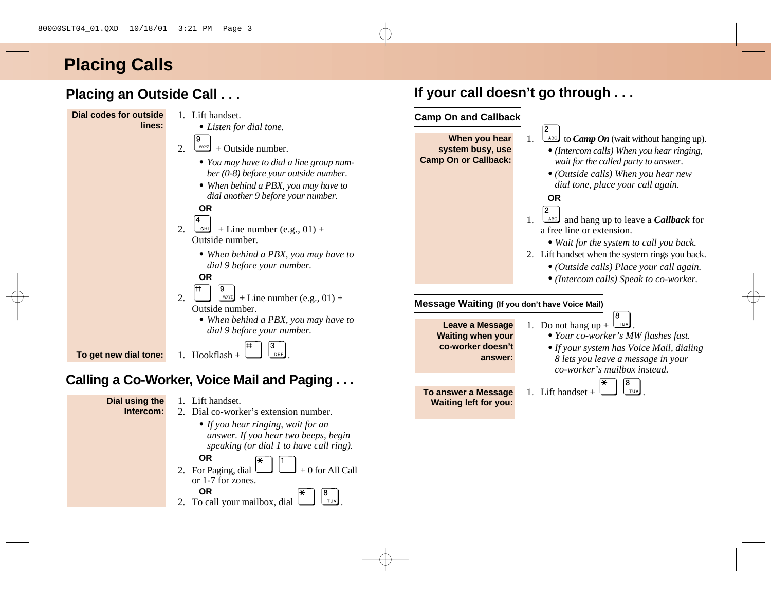# **Placing Calls**

## **Placing an Outside Call . . .**

### **Dial codes for outside**

**lines:**

- 1. Lift handset.
	- *Listen for dial tone.*
- ൫ 2.  $\sqrt{xyz}$  + Outside number.
	- *You may have to dial a line group number (0-8) before your outside number.*
	- *When behind a PBX, you may have to dial another 9 before your number.*

#### **OR**

- 2.  $\leftarrow$   $\leftarrow$  + Line number (e.g., 01) + Outside number.
	- *When behind a PBX, you may have to dial 9 before your number.*

#### **OR**

- 2.  $\Box$   $\Box$   $\Box$   $\Box$  + Line number (e.g., 01) + Outside number.
	- *When behind a PBX, you may have to dial 9 before your number.*

**To get new dial tone:**

1. Hookflash +  $\Box$  leed

## **Calling a Co-Worker, Voice Mail and Paging . . .**

**Dial using the Intercom:**

#### 1. Lift handset. 2. Dial co-worker's extension number.

- *If you hear ringing, wait for an*
	- *answer. If you hear two beeps, begin speaking (or dial 1 to have call ring).*
- **OR** 2. For Paging, dial  $\Box$  + 0 for All Call or 1-7 for zones.

#### **OR** 2. To call your mailbox, dial  $\Box$   $\Box$

## **If your call doesn't go through . . .**

#### **Camp On and Callback**

**When you hear system busy, use Camp On or Callback:**

- $\Delta$ <sup>ABC</sup> to *Camp On* (wait without hanging up).
- *•(Intercom calls) When you hear ringing, wait for the called party to answer.*
- *•(Outside calls) When you hear new dial tone, place your call again.*

#### **OR**



2

- 1.  $\left\lfloor \frac{\text{ABC}}{\text{ABC}} \right\rfloor$  and hang up to leave a *Callback* for a free line or extension.
	- *• Wait for the system to call you back.*
- 2. Lift handset when the system rings you back.
	- *• (Outside calls) Place your call again.*
	- *• (Intercom calls) Speak to co-worker.*

#### **Message Waiting (If you don't have Voice Mail)**

**Leave a Message Waiting when your co-worker doesn't answer:**

- 1. Do not hang up +  $\sqrt{100}$ 
	- *• Your co-worker's MW flashes fast.*
	- *•If your system has Voice Mail, dialing 8 lets you leave a message in your co-worker's mailbox instead.*

**To answer a Message** 1. Lift handset + **Waiting left for you:**

- ß)
-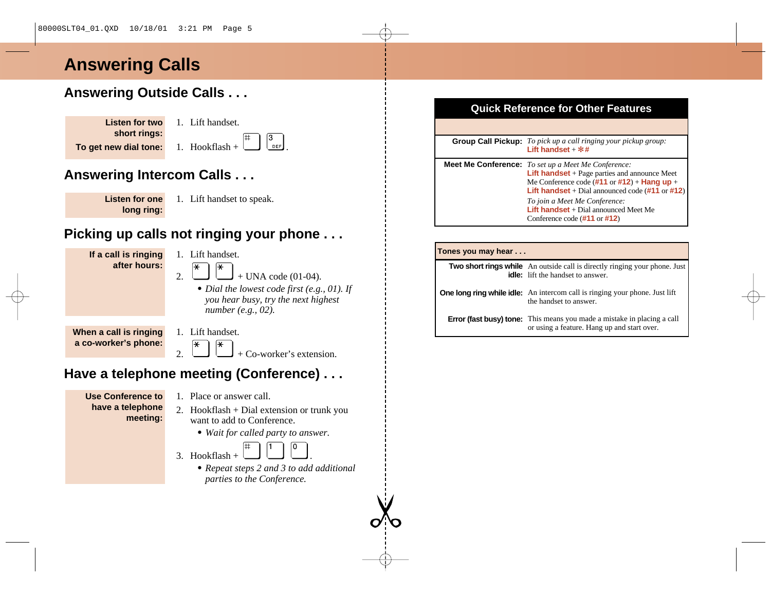## **Answering Calls**

## **Answering Outside Calls . . .**

| Listen for two        | 1. |  |
|-----------------------|----|--|
| short rings:          |    |  |
| To get new dial tone: |    |  |

Lift handset  $\begin{bmatrix} H_{\text{ookflash}} + \end{bmatrix} \begin{bmatrix} 3 \\ 0 \end{bmatrix}$ 

## **Answering Intercom Calls . . .**

- **Listen for one long ring:**
- 1. Lift handset to speak.

## **Picking up calls not ringing your phone . . .**

**If a call is ringing after hours:**

- 1. Lift handset. ⊮
- 2.  $\Box$  + UNA code (01-04).
	- *Dial the lowest code first (e.g., 01). If you hear busy, try the next highest number (e.g., 02).*

**When a call is ringing a co-worker's phone:** 1. Lift handset.

2.  $\Box$  + Co-worker's extension.

## **Have a telephone meeting (Conference) . . .**

**Use Conference to have a telephone meeting:**

- 1. Place or answer call.
- 2. Hookflash + Dial extension or trunk you want to add to Conference.
	- *Wait for called party to answer.*
- 3. Hookflash  $+$ 
	- *Repeat steps 2 and 3 to add additional parties to the Conference.*

# **Quick Reference for Other Features**

| <b>Group Call Pickup:</b> To pick up a call ringing your pickup group:<br>Lift handset $+$ $*$ #                                                                                                                                                               |
|----------------------------------------------------------------------------------------------------------------------------------------------------------------------------------------------------------------------------------------------------------------|
| <b>Meet Me Conference:</b> To set up a Meet Me Conference:<br><b>Lift handset</b> $+$ Page parties and announce Meet<br>Me Conference code $(\#11 \text{ or } \#12)$ + <b>Hang up</b> +<br><b>Lift handset</b> + Dial announced code $(\#11 \text{ or } \#12)$ |
| To join a Meet Me Conference:<br><b>Lift handset</b> $+$ Dial announced Meet Me<br>Conference code $(\#11 \text{ or } \#12)$                                                                                                                                   |

#### **Tones you may hear . . .**

**Two short rings while** An outside call is directly ringing your phone. Just **idle:** lift the handset to answer.

**One long ring while idle:** An intercom call is ringing your phone. Just lift the handset to answer.

**Error (fast busy) tone:** This means you made a mistake in placing a call or using a feature. Hang up and start over.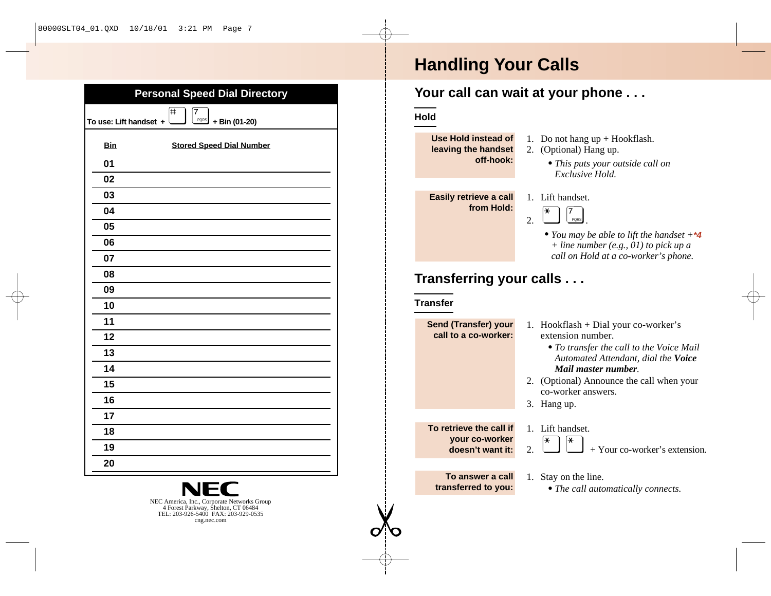| <b>Personal Speed Dial Directory</b>                                                                                           |  |  |  |
|--------------------------------------------------------------------------------------------------------------------------------|--|--|--|
| #<br>7<br>PORS<br>To use: Lift handset +<br>+ Bin (01-20)                                                                      |  |  |  |
| <b>Bin</b><br><b>Stored Speed Dial Number</b>                                                                                  |  |  |  |
| 01                                                                                                                             |  |  |  |
| 02                                                                                                                             |  |  |  |
| 03                                                                                                                             |  |  |  |
| 04                                                                                                                             |  |  |  |
| 05                                                                                                                             |  |  |  |
| 06                                                                                                                             |  |  |  |
| 07                                                                                                                             |  |  |  |
| 08                                                                                                                             |  |  |  |
| 09                                                                                                                             |  |  |  |
| 10                                                                                                                             |  |  |  |
| 11                                                                                                                             |  |  |  |
| 12                                                                                                                             |  |  |  |
| 13                                                                                                                             |  |  |  |
| 14                                                                                                                             |  |  |  |
| 15                                                                                                                             |  |  |  |
| 16                                                                                                                             |  |  |  |
| 17                                                                                                                             |  |  |  |
| 18                                                                                                                             |  |  |  |
| 19                                                                                                                             |  |  |  |
| 20                                                                                                                             |  |  |  |
| Ξ<br>NEC America, Inc., Corporate Networks Group<br>4 Forest Parkway, Šhelton, CT 06484<br>TEL: 203-926-5400 FAX: 203-929-0535 |  |  |  |
| cng.nec.com                                                                                                                    |  |  |  |

# **Handling Your Calls**

## **Your call can wait at your phone . . .**

#### **Hold**

| Use Hold instead of<br>leaving the handset<br>off-hook:       | 1. Do not hang $up + Hook flash$ .<br>(Optional) Hang up.<br>2.<br>• This puts your outside call on<br>Exclusive Hold.                                                                                                                                   |  |
|---------------------------------------------------------------|----------------------------------------------------------------------------------------------------------------------------------------------------------------------------------------------------------------------------------------------------------|--|
| Easily retrieve a call<br>from Hold:                          | 1. Lift handset.<br>∗<br>2.<br>PORS<br>• You may be able to lift the handset $+4$<br>$+$ line number (e.g., 01) to pick up a<br>call on Hold at a co-worker's phone.                                                                                     |  |
| Transferring your calls<br><b>Transfer</b>                    |                                                                                                                                                                                                                                                          |  |
| <b>Send (Transfer) your</b><br>call to a co-worker:           | 1. Hookflash + Dial your co-worker's<br>extension number.<br>• To transfer the call to the Voice Mail<br>Automated Attendant, dial the Voice<br>Mail master number.<br>2. (Optional) Announce the call when your<br>co-worker answers.<br>3.<br>Hang up. |  |
| To retrieve the call if<br>your co-worker<br>doesn't want it: | Lift handset.<br>1.<br>∗<br>∗<br>+ Your co-worker's extension.<br>2.                                                                                                                                                                                     |  |
| To answer a call<br>transferred to you:                       | Stay on the line.<br>1.<br>• The call automatically connects.                                                                                                                                                                                            |  |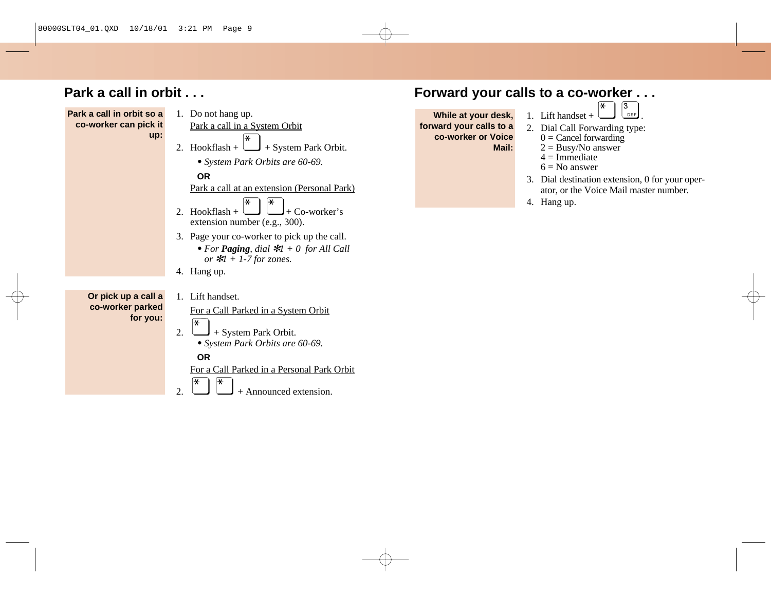## **Park a call in orbit . . .**



 $2 \cup +$  Announced extension.

## **Forward your calls to a co-worker . . .**

**While at your desk, forward your calls to a co-worker or Voice Mail:**

- 1. Lift handset +  $\Box$
- 2. Dial Call Forwarding type:
	- $0 =$ Cancel forwarding
	- $2 = \text{Busy/No answer}$
	- $4 =$ Immediate
	- $6 = No$  answer
- 3. Dial destination extension, 0 for your operator, or the Voice Mail master number.
- 4. Hang up.